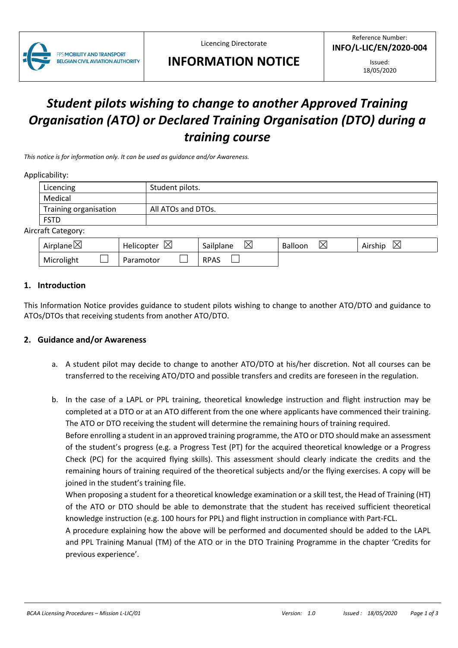

Licencing Directorate

# **INFORMATION NOTICE**

Issued: 18/05/2020

# *Student pilots wishing to change to another Approved Training Organisation (ATO) or Declared Training Organisation (DTO) during a training course*

*This notice is for information only. It can be used as guidance and/or Awareness.*

#### Applicability:

|                           | Licencing             | Student pilots.    |  |  |  |  |
|---------------------------|-----------------------|--------------------|--|--|--|--|
|                           | Medical               |                    |  |  |  |  |
|                           | Training organisation | All ATOs and DTOs. |  |  |  |  |
|                           | <b>FSTD</b>           |                    |  |  |  |  |
| <b>Aircraft Category:</b> |                       |                    |  |  |  |  |

| Airplane $\boxtimes$ | $\boxtimes$<br>Helicopter | $\boxtimes$<br>Sailplane | ⋉<br>Balloon | ⊠<br>Airship |  |
|----------------------|---------------------------|--------------------------|--------------|--------------|--|
| Microlight           | Paramotor                 | <b>RPAS</b>              |              |              |  |

#### **1. Introduction**

This Information Notice provides guidance to student pilots wishing to change to another ATO/DTO and guidance to ATOs/DTOs that receiving students from another ATO/DTO.

#### **2. Guidance and/or Awareness**

- a. A student pilot may decide to change to another ATO/DTO at his/her discretion. Not all courses can be transferred to the receiving ATO/DTO and possible transfers and credits are foreseen in the regulation.
- b. In the case of a LAPL or PPL training, theoretical knowledge instruction and flight instruction may be completed at a DTO or at an ATO different from the one where applicants have commenced their training. The ATO or DTO receiving the student will determine the remaining hours of training required.

Before enrolling a student in an approved training programme, the ATO or DTO should make an assessment of the student's progress (e.g. a Progress Test (PT) for the acquired theoretical knowledge or a Progress Check (PC) for the acquired flying skills). This assessment should clearly indicate the credits and the remaining hours of training required of the theoretical subjects and/or the flying exercises. A copy will be joined in the student's training file.

When proposing a student for a theoretical knowledge examination or a skill test, the Head of Training (HT) of the ATO or DTO should be able to demonstrate that the student has received sufficient theoretical knowledge instruction (e.g. 100 hours for PPL) and flight instruction in compliance with Part-FCL.

A procedure explaining how the above will be performed and documented should be added to the LAPL and PPL Training Manual (TM) of the ATO or in the DTO Training Programme in the chapter 'Credits for previous experience'.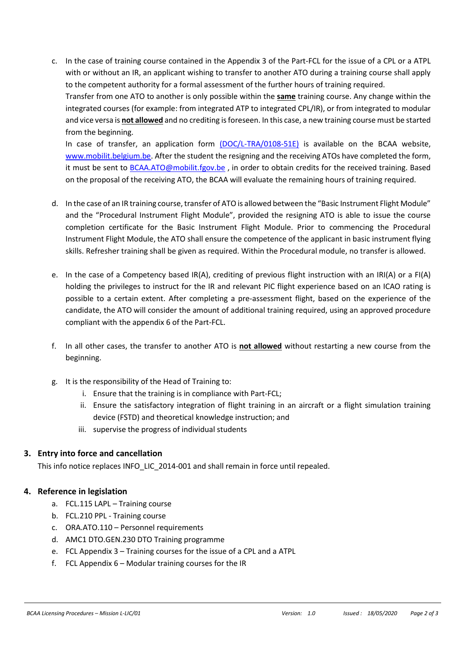c. In the case of training course contained in the Appendix 3 of the Part-FCL for the issue of a CPL or a ATPL with or without an IR, an applicant wishing to transfer to another ATO during a training course shall apply to the competent authority for a formal assessment of the further hours of training required. Transfer from one ATO to another is only possible within the **same** training course. Any change within the integrated courses (for example: from integrated ATP to integrated CPL/IR), or from integrated to modular and vice versa is **not allowed** and no crediting is foreseen. In this case, a new training course must be started from the beginning. In case of transfer, an application form [\(DOC/L-TRA/0108-51E\)](https://mobilit.belgium.be/sites/default/files/DGLV/application_for_transfer_to_another_ato_v2.0.docx?language=fr) is available on the BCAA website,

[www.mobilit.belgium.be.](http://www.mobilit.belgium.be/) After the student the resigning and the receiving ATOs have completed the form, it must be sent to [BCAA.ATO@mobilit.fgov.be](mailto:BCAA.ATO@mobilit.fgov.be) , in order to obtain credits for the received training. Based on the proposal of the receiving ATO, the BCAA will evaluate the remaining hours of training required.

- d. In the case of an IR training course, transfer of ATO is allowed between the "Basic Instrument Flight Module" and the "Procedural Instrument Flight Module", provided the resigning ATO is able to issue the course completion certificate for the Basic Instrument Flight Module. Prior to commencing the Procedural Instrument Flight Module, the ATO shall ensure the competence of the applicant in basic instrument flying skills. Refresher training shall be given as required. Within the Procedural module, no transfer is allowed.
- e. In the case of a Competency based IR(A), crediting of previous flight instruction with an IRI(A) or a FI(A) holding the privileges to instruct for the IR and relevant PIC flight experience based on an ICAO rating is possible to a certain extent. After completing a pre-assessment flight, based on the experience of the candidate, the ATO will consider the amount of additional training required, using an approved procedure compliant with the appendix 6 of the Part-FCL.
- f. In all other cases, the transfer to another ATO is **not allowed** without restarting a new course from the beginning.
- g. It is the responsibility of the Head of Training to:
	- i. Ensure that the training is in compliance with Part-FCL;
	- ii. Ensure the satisfactory integration of flight training in an aircraft or a flight simulation training device (FSTD) and theoretical knowledge instruction; and
	- iii. supervise the progress of individual students

## **3. Entry into force and cancellation**

This info notice replaces INFO\_LIC\_2014-001 and shall remain in force until repealed.

## **4. Reference in legislation**

- a. FCL.115 LAPL Training course
- b. FCL.210 PPL Training course
- c. ORA.ATO.110 Personnel requirements
- d. AMC1 DTO.GEN.230 DTO Training programme
- e. FCL Appendix 3 Training courses for the issue of a CPL and a ATPL
- f. FCL Appendix 6 Modular training courses for the IR